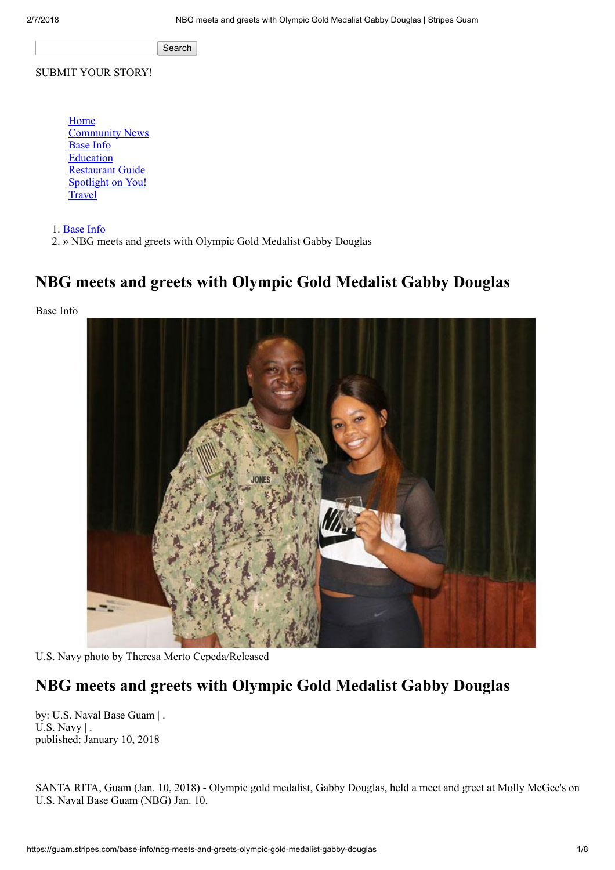Search

#### SUBMIT YOUR STORY!

[Home](https://guam.stripes.com/) [Community News](https://guam.stripes.com/news) [Base Info](https://guam.stripes.com/base-info) **[Education](https://guam.stripes.com/education)** [Restaurant Guide](https://guam.stripes.com/restaurant-guide) [Spotlight on You!](https://guam.stripes.com/spotlight) **[Travel](https://guam.stripes.com/travel)** 

1. [Base Info](https://guam.stripes.com/base-info)

2. » NBG meets and greets with Olympic Gold Medalist Gabby Douglas

### NBG meets and greets with Olympic Gold Medalist Gabby Douglas

Base Info



U.S. Navy photo by Theresa Merto Cepeda/Released

## NBG meets and greets with Olympic Gold Medalist Gabby Douglas

by: U.S. Naval Base Guam | . U.S. Navy | . published: January 10, 2018

SANTA RITA, Guam (Jan. 10, 2018) - Olympic gold medalist, Gabby Douglas, held a meet and greet at Molly McGee's on U.S. Naval Base Guam (NBG) Jan. 10.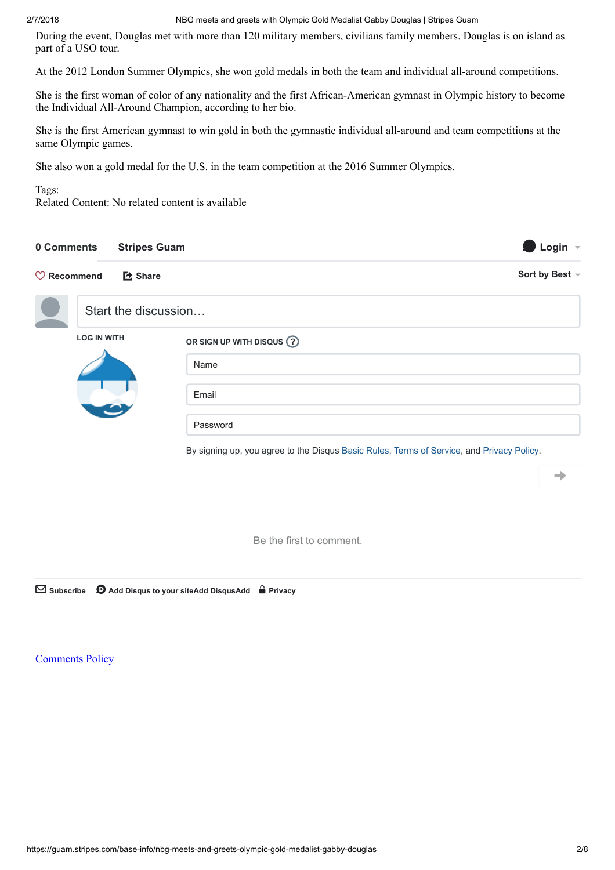#### 2/7/2018 NBG meets and greets with Olympic Gold Medalist Gabby Douglas | Stripes Guam

During the event, Douglas met with more than 120 military members, civilians family members. Douglas is on island as part of a USO tour.

At the 2012 London Summer Olympics, she won gold medals in both the team and individual all-around competitions.

She is the first woman of color of any nationality and the first African-American gymnast in Olympic history to become the Individual All-Around Champion, according to her bio.

She is the first American gymnast to win gold in both the gymnastic individual all-around and team competitions at the same Olympic games.

She also won a gold medal for the U.S. in the team competition at the 2016 Summer Olympics.

#### Tags:

Related Content: No related content is available

| 0 Comments             | <b>Stripes Guam</b>  |                                                                                           | Login $\sim$   |
|------------------------|----------------------|-------------------------------------------------------------------------------------------|----------------|
| $\heartsuit$ Recommend | <b>[2 Share</b>      |                                                                                           | Sort by Best - |
|                        | Start the discussion |                                                                                           |                |
|                        | <b>LOG IN WITH</b>   | OR SIGN UP WITH DISQUS ?                                                                  |                |
|                        |                      | Name                                                                                      |                |
|                        |                      | Email                                                                                     |                |
|                        |                      | Password                                                                                  |                |
|                        |                      | By signing up, you agree to the Disqus Basic Rules, Terms of Service, and Privacy Policy. |                |
|                        |                      |                                                                                           |                |

Be the first to comment.

 $\boxtimes$  Subscribe  $\bullet$  [Add Disqus to your siteAdd DisqusAdd](https://disqus.com/)  $\bullet$  [Privacy](https://help.disqus.com/customer/portal/articles/466259-privacy-policy)

[Comments Policy](https://guam.stripes.com/policy)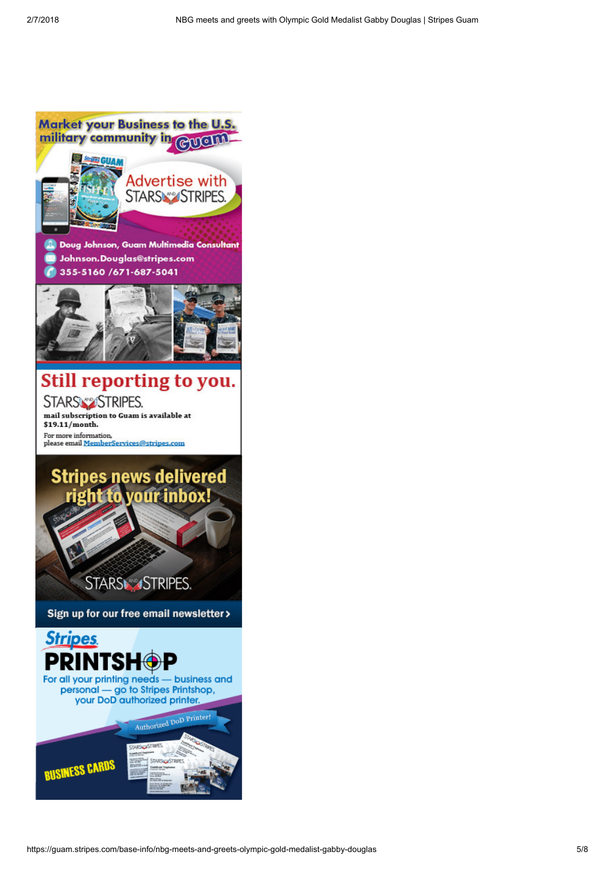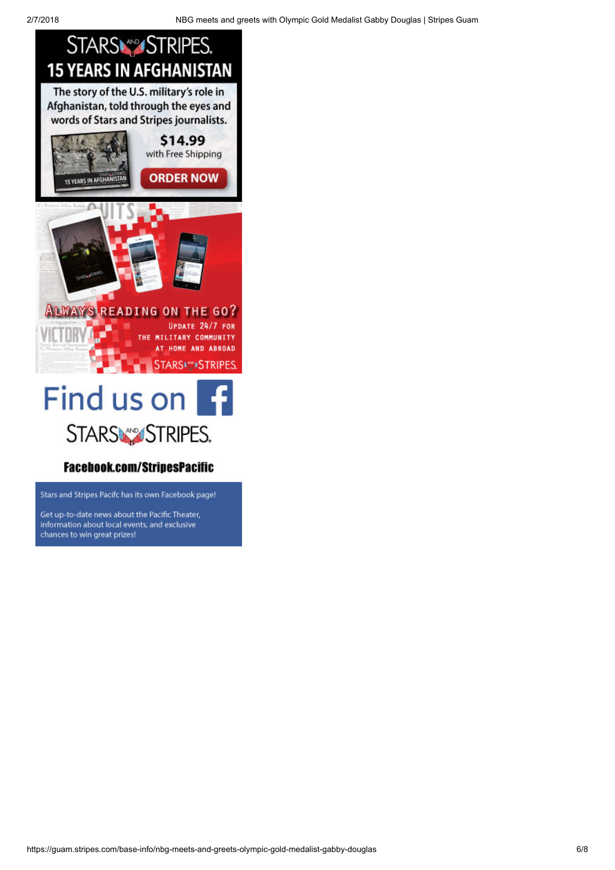

#### **Facebook.com/StripesPacific**

Stars and Stripes Pacifc has its own Facebook page!

Get up-to-date news about the Pacific Theater, information about local events, and exclusive chances to win great prizes!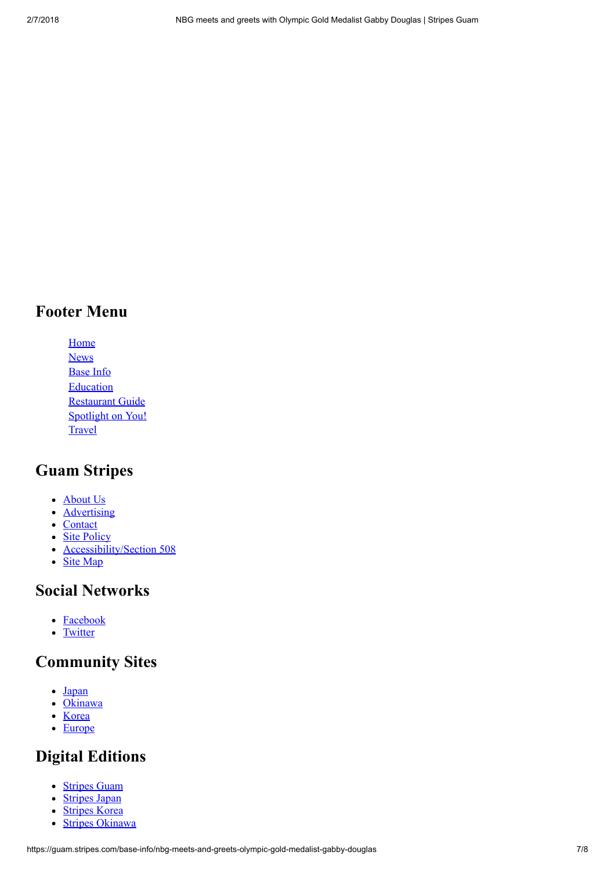### Footer Menu

[Home](https://guam.stripes.com/) [News](https://guam.stripes.com/news) [Base Info](https://guam.stripes.com/base-info) **[Education](https://guam.stripes.com/education)** [Restaurant Guide](https://guam.stripes.com/restaurant-guide) [Spotlight on You!](https://guam.stripes.com/spotlight) **[Travel](https://guam.stripes.com/travel)** 

# Guam Stripes

- [About Us](https://guam.stripes.com/about-us)
- **[Advertising](https://guam.stripes.com/advertising)**
- [Contact](https://guam.stripes.com/contact)
- [Site Policy](https://guam.stripes.com/site-policy)
- [Accessibility/Section 508](http://dodcio.defense.gov/DoDSection508/Std_Stmt.aspx)
- [Site Map](https://guam.stripes.com/sitemap.xml)

### Social Networks

- [Facebook](http://www.facebook.com/stripesmedia)
- [Twitter](http://twitter.com/#%21/starsandstripes)

## Community Sites

- [Japan](https://japan.stripes.com/)
- [Okinawa](https://okinawa.stripes.com/)
- [Korea](https://korea.stripes.com/)
- [Europe](https://europe.stripes.com/)

# Digital Editions

- [Stripes Guam](https://epub.stripes.com/Stripes-Guam_latest)
- [Stripes Japan](https://epub.stripes.com/Stripes-Japan_latest)  $\bullet$
- [Stripes Korea](https://epub.stripes.com/Stripes-Korea_latest)  $\bullet$
- [Stripes Okinawa](https://epub.stripes.com/Stripes-Okinawa_latest)  $\bullet$